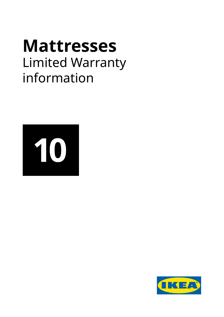# **Mattresses** Limited Warranty information



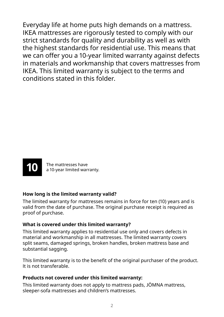Everyday life at home puts high demands on a mattress. IKEA mattresses are rigorously tested to comply with our strict standards for quality and durability as well as with the highest standards for residential use. This means that we can offer you a 10-year limited warranty against defects in materials and workmanship that covers mattresses from IKEA. This limited warranty is subject to the terms and conditions stated in this folder.



The mattresses have a 10-year limited warranty.

#### **How long is the limited warranty valid?**

The limited warranty for mattresses remains in force for ten (10) years and is valid from the date of purchase. The original purchase receipt is required as proof of purchase.

#### **What is covered under this limited warranty?**

This limited warranty applies to residential use only and covers defects in material and workmanship in all mattresses. The limited warranty covers split seams, damaged springs, broken handles, broken mattress base and substantial sagging.

This limited warranty is to the benefit of the original purchaser of the product. It is not transferable.

#### **Products not covered under this limited warranty:**

This limited warranty does not apply to mattress pads, JÖMNA mattress, sleeper-sofa mattresses and children's mattresses.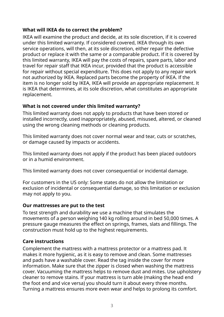#### **What will IKEA do to correct the problem?**

IKEA will examine the product and decide, at its sole discretion, if it is covered under this limited warranty. If considered covered, IKEA through its own service operations, will then, at its sole discretion, either repair the defective product or replace it with the same or a comparable product. If it is covered by this limited warranty, IKEA will pay the costs of repairs, spare parts, labor and travel for repair staff that IKEA incur, provided that the product is accessible for repair without special expenditure. This does not apply to any repair work not authorized by IKEA. Replaced parts become the property of IKEA. If the item is no longer sold by IKEA, IKEA will provide an appropriate replacement. It is IKEA that determines, at its sole discretion, what constitutes an appropriate replacement.

#### **What is not covered under this limited warranty?**

This limited warranty does not apply to products that have been stored or installed incorrectly, used inappropriately, abused, misused, altered, or cleaned using the wrong cleaning methods or cleaning products.

This limited warranty does not cover normal wear and tear, cuts or scratches, or damage caused by impacts or accidents.

This limited warranty does not apply if the product has been placed outdoors or in a humid environment.

This limited warranty does not cover consequential or incidental damage.

For customers in the US only: Some states do not allow the limitation or exclusion of incidental or consequential damage, so this limitation or exclusion may not apply to you.

#### **Our mattresses are put to the test**

To test strength and durability we use a machine that simulates the movements of a person weighing 140 kg rolling around in bed 50,000 times. A pressure gauge measures the effect on springs, frames, slats and fillings. The construction must hold up to the highest requirements.

#### **Care instructions**

Complement the mattress with a mattress protector or a mattress pad. It makes it more hygienic, as it is easy to remove and clean. Some mattresses and pads have a washable cover. Read the tag inside the cover for more information. Make sure that the zipper is closed when washing the mattress cover. Vacuuming the mattress helps to remove dust and mites. Use upholstery cleaner to remove stains. If your mattress is turn able (making the head end the foot end and vice versa) you should turn it about every three months. Turning a mattress ensures more even wear and helps to prolong its comfort.